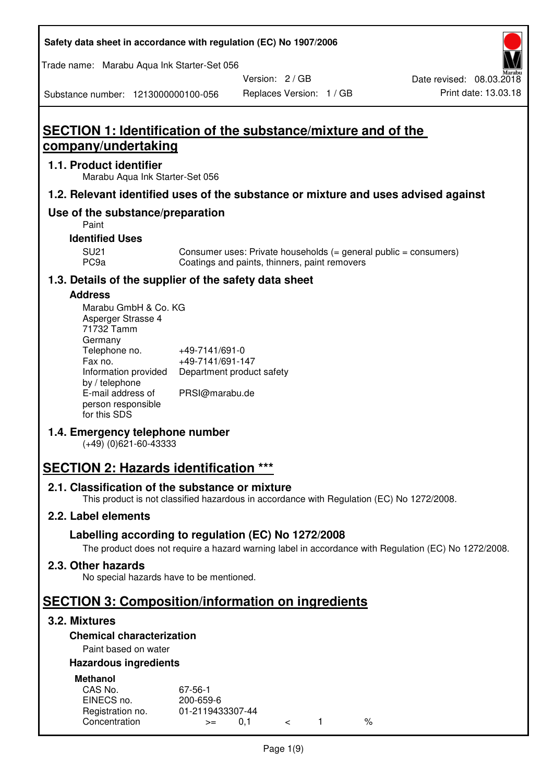| Safety data sheet in accordance with regulation (EC) No 1907/2006 |  |
|-------------------------------------------------------------------|--|
|-------------------------------------------------------------------|--|

Trade name: Marabu Aqua Ink Starter-Set 056

Version: 2 / GB



Substance number: 1213000000100-056

# **SECTION 1: Identification of the substance/mixture and of the company/undertaking**

### **1.1. Product identifier**

Marabu Aqua Ink Starter-Set 056

## **1.2. Relevant identified uses of the substance or mixture and uses advised against**

## **Use of the substance/preparation**

Paint

## **Identified Uses**

SU21 Consumer uses: Private households (= general public = consumers)<br>PC9a Coatings and paints, thinners, paint removers Coatings and paints, thinners, paint removers

## **1.3. Details of the supplier of the safety data sheet**

### **Address**

| Marabu GmbH & Co. KG |                           |
|----------------------|---------------------------|
| Asperger Strasse 4   |                           |
| 71732 Tamm           |                           |
| Germany              |                           |
| Telephone no.        | +49-7141/691-0            |
| Fax no.              | +49-7141/691-147          |
| Information provided | Department product safety |
| by / telephone       |                           |
| E-mail address of    | PRSI@marabu.de            |
| person responsible   |                           |
| for this SDS         |                           |

## **1.4. Emergency telephone number**

(+49) (0)621-60-43333

## **SECTION 2: Hazards identification \*\*\***

## **2.1. Classification of the substance or mixture**

This product is not classified hazardous in accordance with Regulation (EC) No 1272/2008.

## **2.2. Label elements**

## **Labelling according to regulation (EC) No 1272/2008**

The product does not require a hazard warning label in accordance with Regulation (EC) No 1272/2008.

#### **2.3. Other hazards**

No special hazards have to be mentioned.

## **SECTION 3: Composition/information on ingredients**

## **3.2. Mixtures**

## **Chemical characterization**

## Paint based on water

## **Hazardous ingredients**

| <b>Methanol</b>  |                  |  |   |
|------------------|------------------|--|---|
| CAS No.          | 67-56-1          |  |   |
| EINECS no.       | 200-659-6        |  |   |
| Registration no. | 01-2119433307-44 |  |   |
| Concentration    | O 1<br>$>=$      |  | % |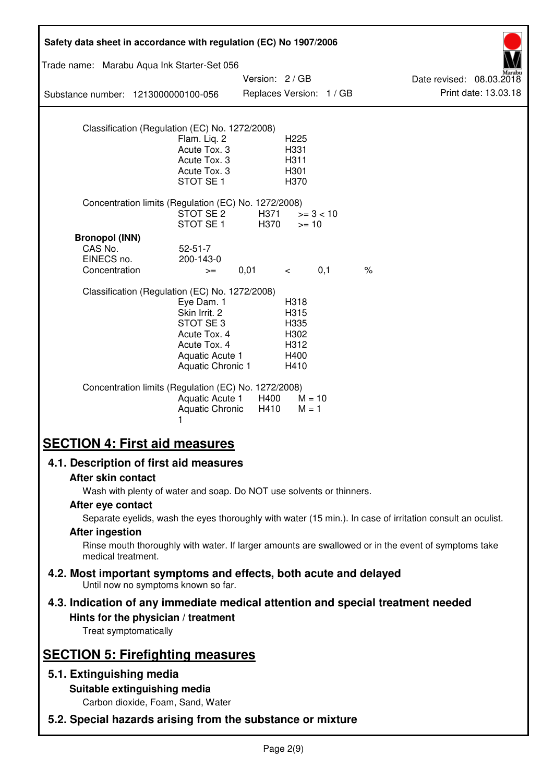| Safety data sheet in accordance with regulation (EC) No 1907/2006                                                                               |                                                                                                                 |               |                                                      |                          |                                                                                                            |
|-------------------------------------------------------------------------------------------------------------------------------------------------|-----------------------------------------------------------------------------------------------------------------|---------------|------------------------------------------------------|--------------------------|------------------------------------------------------------------------------------------------------------|
| Trade name: Marabu Aqua Ink Starter-Set 056                                                                                                     |                                                                                                                 |               |                                                      |                          |                                                                                                            |
| Substance number: 1213000000100-056                                                                                                             |                                                                                                                 | Version: 2/GB |                                                      | Replaces Version: 1 / GB | Date revised: 08.03.2018<br>Print date: 13.03.18                                                           |
|                                                                                                                                                 |                                                                                                                 |               |                                                      |                          |                                                                                                            |
| Classification (Regulation (EC) No. 1272/2008)                                                                                                  | Flam. Liq. 2<br>Acute Tox. 3<br>Acute Tox. 3<br>Acute Tox. 3<br>STOT SE <sub>1</sub>                            |               | H <sub>225</sub><br>H331<br>H311<br>H301<br>H370     |                          |                                                                                                            |
| Concentration limits (Regulation (EC) No. 1272/2008)                                                                                            | STOT SE 2<br>STOT SE <sub>1</sub>                                                                               | H371<br>H370  | $>= 10$                                              | $>= 3 < 10$              |                                                                                                            |
| <b>Bronopol (INN)</b><br>CAS No.<br>EINECS no.<br>Concentration                                                                                 | $52 - 51 - 7$<br>200-143-0<br>$>=$                                                                              | 0,01          | $\lt$                                                | 0,1                      | $\%$                                                                                                       |
| Classification (Regulation (EC) No. 1272/2008)                                                                                                  | Eye Dam. 1<br>Skin Irrit. 2<br>STOT SE3<br>Acute Tox. 4<br>Acute Tox. 4<br>Aquatic Acute 1<br>Aquatic Chronic 1 |               | H318<br>H315<br>H335<br>H302<br>H312<br>H400<br>H410 |                          |                                                                                                            |
| Concentration limits (Regulation (EC) No. 1272/2008)                                                                                            | Aquatic Acute 1<br>Aquatic Chronic<br>1                                                                         | H400<br>H410  | $M = 10$<br>$M = 1$                                  |                          |                                                                                                            |
| <b>SECTION 4: First aid measures</b>                                                                                                            |                                                                                                                 |               |                                                      |                          |                                                                                                            |
| 4.1. Description of first aid measures                                                                                                          |                                                                                                                 |               |                                                      |                          |                                                                                                            |
| After skin contact<br>Wash with plenty of water and soap. Do NOT use solvents or thinners.                                                      |                                                                                                                 |               |                                                      |                          |                                                                                                            |
| After eye contact                                                                                                                               |                                                                                                                 |               |                                                      |                          |                                                                                                            |
| <b>After ingestion</b>                                                                                                                          |                                                                                                                 |               |                                                      |                          | Separate eyelids, wash the eyes thoroughly with water (15 min.). In case of irritation consult an oculist. |
| medical treatment.                                                                                                                              |                                                                                                                 |               |                                                      |                          | Rinse mouth thoroughly with water. If larger amounts are swallowed or in the event of symptoms take        |
| 4.2. Most important symptoms and effects, both acute and delayed<br>Until now no symptoms known so far.                                         |                                                                                                                 |               |                                                      |                          |                                                                                                            |
| 4.3. Indication of any immediate medical attention and special treatment needed<br>Hints for the physician / treatment<br>Treat symptomatically |                                                                                                                 |               |                                                      |                          |                                                                                                            |
| <b>SECTION 5: Firefighting measures</b>                                                                                                         |                                                                                                                 |               |                                                      |                          |                                                                                                            |
| 5.1. Extinguishing media                                                                                                                        |                                                                                                                 |               |                                                      |                          |                                                                                                            |
|                                                                                                                                                 | Suitable extinguishing media<br>Carbon dioxide, Foam, Sand, Water                                               |               |                                                      |                          |                                                                                                            |
| 5.2. Special hazards arising from the substance or mixture                                                                                      |                                                                                                                 |               |                                                      |                          |                                                                                                            |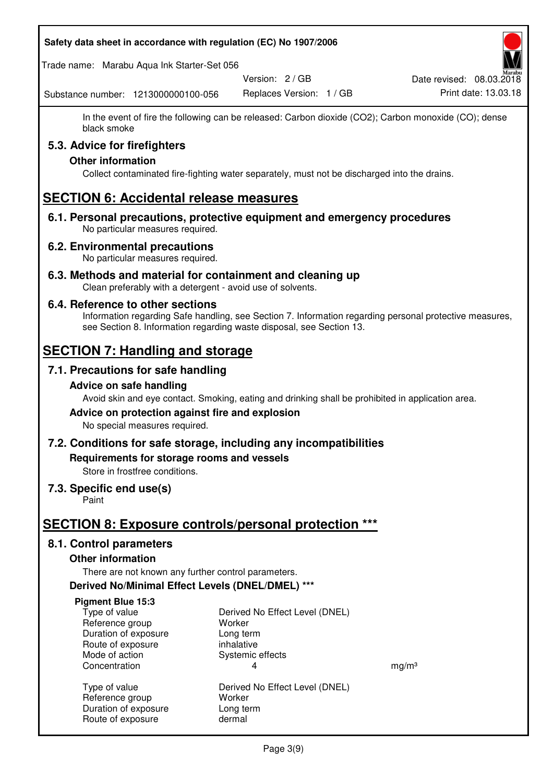#### **Safety data sheet in accordance with regulation (EC) No 1907/2006**

Trade name: Marabu Aqua Ink Starter-Set 056

Version: 2 / GB

Replaces Version: 1 / GB Print date: 13.03.18 Date revised: 08.03.2018

Substance number: 1213000000100-056

In the event of fire the following can be released: Carbon dioxide (CO2); Carbon monoxide (CO); dense black smoke

## **5.3. Advice for firefighters**

## **Other information**

Collect contaminated fire-fighting water separately, must not be discharged into the drains.

## **SECTION 6: Accidental release measures**

**6.1. Personal precautions, protective equipment and emergency procedures**  No particular measures required.

### **6.2. Environmental precautions**

No particular measures required.

**6.3. Methods and material for containment and cleaning up**  Clean preferably with a detergent - avoid use of solvents.

### **6.4. Reference to other sections**

Information regarding Safe handling, see Section 7. Information regarding personal protective measures, see Section 8. Information regarding waste disposal, see Section 13.

## **SECTION 7: Handling and storage**

## **7.1. Precautions for safe handling**

#### **Advice on safe handling**

Avoid skin and eye contact. Smoking, eating and drinking shall be prohibited in application area.

# **Advice on protection against fire and explosion**

No special measures required.

## **7.2. Conditions for safe storage, including any incompatibilities**

**Requirements for storage rooms and vessels** 

Store in frostfree conditions.

## **7.3. Specific end use(s)**

Paint

## **SECTION 8: Exposure controls/personal protection \*\*\***

## **8.1. Control parameters**

#### **Other information**

There are not known any further control parameters.

## **Derived No/Minimal Effect Levels (DNEL/DMEL) \*\*\***

#### **Pigment Blue 15:3**

| Type of value        |
|----------------------|
| Reference group      |
| Duration of exposure |
| Route of exposure    |
| Mode of action       |
| Concentration        |
|                      |
| Type of value        |

Route of exposure dermal

Derived No Effect Level (DNEL) Worker Long term inhalative Systemic effects Concentration and the set of the set of the set of the set of the set of the set of the set of the set of the set of the set of the set of the set of the set of the set of the set of the set of the set of the set of the se Derived No Effect Level (DNEL) Reference group Worker Duration of exposure Long term

Page 3(9)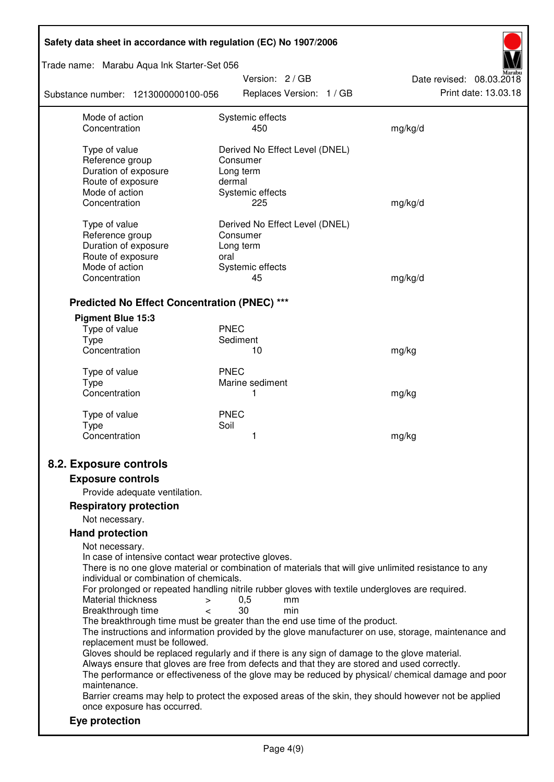| Safety data sheet in accordance with regulation (EC) No 1907/2006                                                                                                                                                                                                                                                         |                                                                                                                                                                                                                                                                                                                                                                                                                                                                                                                                                                                                                                                                                                                                                                                                                                          |                          |  |
|---------------------------------------------------------------------------------------------------------------------------------------------------------------------------------------------------------------------------------------------------------------------------------------------------------------------------|------------------------------------------------------------------------------------------------------------------------------------------------------------------------------------------------------------------------------------------------------------------------------------------------------------------------------------------------------------------------------------------------------------------------------------------------------------------------------------------------------------------------------------------------------------------------------------------------------------------------------------------------------------------------------------------------------------------------------------------------------------------------------------------------------------------------------------------|--------------------------|--|
| Trade name: Marabu Aqua Ink Starter-Set 056                                                                                                                                                                                                                                                                               |                                                                                                                                                                                                                                                                                                                                                                                                                                                                                                                                                                                                                                                                                                                                                                                                                                          |                          |  |
|                                                                                                                                                                                                                                                                                                                           | Version: 2 / GB                                                                                                                                                                                                                                                                                                                                                                                                                                                                                                                                                                                                                                                                                                                                                                                                                          | Date revised: 08.03.2018 |  |
| Substance number: 1213000000100-056                                                                                                                                                                                                                                                                                       | Replaces Version: 1 / GB                                                                                                                                                                                                                                                                                                                                                                                                                                                                                                                                                                                                                                                                                                                                                                                                                 | Print date: 13.03.18     |  |
| Mode of action<br>Concentration                                                                                                                                                                                                                                                                                           | Systemic effects<br>450                                                                                                                                                                                                                                                                                                                                                                                                                                                                                                                                                                                                                                                                                                                                                                                                                  | mg/kg/d                  |  |
| Type of value<br>Reference group<br>Duration of exposure<br>Route of exposure<br>Mode of action<br>Concentration                                                                                                                                                                                                          | Derived No Effect Level (DNEL)<br>Consumer<br>Long term<br>dermal<br>Systemic effects<br>225                                                                                                                                                                                                                                                                                                                                                                                                                                                                                                                                                                                                                                                                                                                                             | mg/kg/d                  |  |
| Type of value<br>Reference group<br>Duration of exposure<br>Route of exposure<br>Mode of action<br>Concentration                                                                                                                                                                                                          | Derived No Effect Level (DNEL)<br>Consumer<br>Long term<br>oral<br>Systemic effects<br>45                                                                                                                                                                                                                                                                                                                                                                                                                                                                                                                                                                                                                                                                                                                                                | mg/kg/d                  |  |
| <b>Predicted No Effect Concentration (PNEC) ***</b>                                                                                                                                                                                                                                                                       |                                                                                                                                                                                                                                                                                                                                                                                                                                                                                                                                                                                                                                                                                                                                                                                                                                          |                          |  |
| <b>Pigment Blue 15:3</b><br>Type of value<br>Type<br>Concentration<br>Type of value                                                                                                                                                                                                                                       | <b>PNEC</b><br>Sediment<br>10<br><b>PNEC</b>                                                                                                                                                                                                                                                                                                                                                                                                                                                                                                                                                                                                                                                                                                                                                                                             | mg/kg                    |  |
| <b>Type</b><br>Concentration                                                                                                                                                                                                                                                                                              | Marine sediment<br>1                                                                                                                                                                                                                                                                                                                                                                                                                                                                                                                                                                                                                                                                                                                                                                                                                     | mg/kg                    |  |
| Type of value<br><b>Type</b><br>Concentration                                                                                                                                                                                                                                                                             | <b>PNEC</b><br>Soil<br>1                                                                                                                                                                                                                                                                                                                                                                                                                                                                                                                                                                                                                                                                                                                                                                                                                 | mg/kg                    |  |
| 8.2. Exposure controls                                                                                                                                                                                                                                                                                                    |                                                                                                                                                                                                                                                                                                                                                                                                                                                                                                                                                                                                                                                                                                                                                                                                                                          |                          |  |
| <b>Exposure controls</b>                                                                                                                                                                                                                                                                                                  |                                                                                                                                                                                                                                                                                                                                                                                                                                                                                                                                                                                                                                                                                                                                                                                                                                          |                          |  |
| Provide adequate ventilation.                                                                                                                                                                                                                                                                                             |                                                                                                                                                                                                                                                                                                                                                                                                                                                                                                                                                                                                                                                                                                                                                                                                                                          |                          |  |
| <b>Respiratory protection</b>                                                                                                                                                                                                                                                                                             |                                                                                                                                                                                                                                                                                                                                                                                                                                                                                                                                                                                                                                                                                                                                                                                                                                          |                          |  |
| Not necessary.                                                                                                                                                                                                                                                                                                            |                                                                                                                                                                                                                                                                                                                                                                                                                                                                                                                                                                                                                                                                                                                                                                                                                                          |                          |  |
| <b>Hand protection</b><br>Not necessary.<br>In case of intensive contact wear protective gloves.<br>individual or combination of chemicals.<br>Material thickness<br>><br>Breakthrough time<br>$\overline{\phantom{a}}$<br>replacement must be followed.<br>maintenance.<br>once exposure has occurred.<br>Eye protection | There is no one glove material or combination of materials that will give unlimited resistance to any<br>For prolonged or repeated handling nitrile rubber gloves with textile undergloves are required.<br>0,5<br>mm<br>30<br>min<br>The breakthrough time must be greater than the end use time of the product.<br>The instructions and information provided by the glove manufacturer on use, storage, maintenance and<br>Gloves should be replaced regularly and if there is any sign of damage to the glove material.<br>Always ensure that gloves are free from defects and that they are stored and used correctly.<br>The performance or effectiveness of the glove may be reduced by physical/ chemical damage and poor<br>Barrier creams may help to protect the exposed areas of the skin, they should however not be applied |                          |  |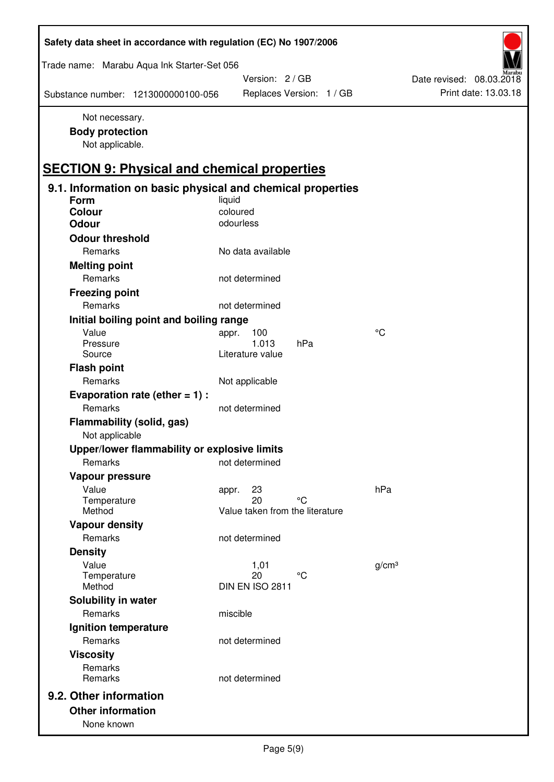| Safety data sheet in accordance with regulation (EC) No 1907/2006 |                                 |                          |
|-------------------------------------------------------------------|---------------------------------|--------------------------|
| Trade name: Marabu Aqua Ink Starter-Set 056                       |                                 |                          |
|                                                                   | Version: 2 / GB                 | Date revised: 08.03.2018 |
| Substance number: 1213000000100-056                               | Replaces Version: 1 / GB        | Print date: 13.03.18     |
| Not necessary.<br><b>Body protection</b><br>Not applicable.       |                                 |                          |
| <b>SECTION 9: Physical and chemical properties</b>                |                                 |                          |
| 9.1. Information on basic physical and chemical properties        |                                 |                          |
| Form                                                              | liquid<br>coloured              |                          |
| Colour<br><b>Odour</b>                                            | odourless                       |                          |
|                                                                   |                                 |                          |
| <b>Odour threshold</b><br>Remarks                                 | No data available               |                          |
|                                                                   |                                 |                          |
| <b>Melting point</b><br>Remarks                                   | not determined                  |                          |
|                                                                   |                                 |                          |
| <b>Freezing point</b>                                             |                                 |                          |
| Remarks                                                           | not determined                  |                          |
| Initial boiling point and boiling range                           |                                 |                          |
| Value<br>Pressure                                                 | 100<br>appr.<br>1.013<br>hPa    | $\rm ^{\circ}C$          |
| Source                                                            | Literature value                |                          |
| <b>Flash point</b>                                                |                                 |                          |
| Remarks                                                           | Not applicable                  |                          |
| Evaporation rate (ether $= 1$ ) :                                 |                                 |                          |
| Remarks                                                           | not determined                  |                          |
| Flammability (solid, gas)<br>Not applicable                       |                                 |                          |
| Upper/lower flammability or explosive limits                      |                                 |                          |
| Remarks                                                           | not determined                  |                          |
| Vapour pressure                                                   |                                 |                          |
| Value                                                             | 23<br>appr.                     | hPa                      |
| Temperature                                                       | 20<br>°C                        |                          |
| Method                                                            | Value taken from the literature |                          |
| <b>Vapour density</b>                                             |                                 |                          |
| Remarks                                                           | not determined                  |                          |
| <b>Density</b>                                                    |                                 |                          |
| Value                                                             | 1,01<br>20<br>°C                | g/cm <sup>3</sup>        |
| Temperature<br>Method                                             | DIN EN ISO 2811                 |                          |
| Solubility in water                                               |                                 |                          |
| Remarks                                                           | miscible                        |                          |
| Ignition temperature                                              |                                 |                          |
| Remarks                                                           | not determined                  |                          |
| <b>Viscosity</b>                                                  |                                 |                          |
| Remarks                                                           |                                 |                          |
| Remarks                                                           | not determined                  |                          |
| 9.2. Other information                                            |                                 |                          |
| <b>Other information</b>                                          |                                 |                          |
| None known                                                        |                                 |                          |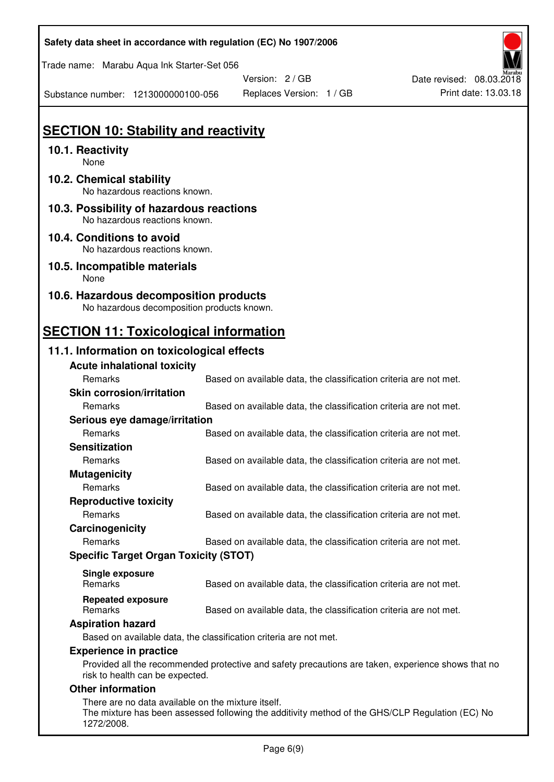| Safety data sheet in accordance with regulation (EC) No 1907/2006                    |                                                                   |                          |
|--------------------------------------------------------------------------------------|-------------------------------------------------------------------|--------------------------|
| Trade name: Marabu Aqua Ink Starter-Set 056                                          |                                                                   |                          |
|                                                                                      | Version: 2/GB                                                     | Date revised: 08.03.2018 |
| Substance number: 1213000000100-056                                                  | Replaces Version: 1 / GB                                          | Print date: 13.03.18     |
|                                                                                      |                                                                   |                          |
| <b>SECTION 10: Stability and reactivity</b>                                          |                                                                   |                          |
| 10.1. Reactivity<br>None                                                             |                                                                   |                          |
| 10.2. Chemical stability<br>No hazardous reactions known.                            |                                                                   |                          |
| 10.3. Possibility of hazardous reactions<br>No hazardous reactions known.            |                                                                   |                          |
| 10.4. Conditions to avoid<br>No hazardous reactions known.                           |                                                                   |                          |
| 10.5. Incompatible materials<br>None                                                 |                                                                   |                          |
| 10.6. Hazardous decomposition products<br>No hazardous decomposition products known. |                                                                   |                          |
| <b>SECTION 11: Toxicological information</b>                                         |                                                                   |                          |
| 11.1. Information on toxicological effects                                           |                                                                   |                          |
| <b>Acute inhalational toxicity</b>                                                   |                                                                   |                          |
| Remarks                                                                              | Based on available data, the classification criteria are not met. |                          |
| <b>Skin corrosion/irritation</b>                                                     |                                                                   |                          |
| Remarks                                                                              | Based on available data, the classification criteria are not met. |                          |
| Serious eye damage/irritation                                                        |                                                                   |                          |
| Remarks                                                                              | Based on available data, the classification criteria are not met. |                          |
| <b>Sensitization</b>                                                                 |                                                                   |                          |
| Remarks                                                                              | Based on available data, the classification criteria are not met. |                          |
| <b>Mutagenicity</b>                                                                  |                                                                   |                          |
| Remarks                                                                              | Based on available data, the classification criteria are not met. |                          |
| <b>Reproductive toxicity</b>                                                         |                                                                   |                          |
| Remarks                                                                              | Based on available data, the classification criteria are not met. |                          |
| Carcinogenicity                                                                      |                                                                   |                          |
| Remarks                                                                              | Based on available data, the classification criteria are not met. |                          |
| <b>Specific Target Organ Toxicity (STOT)</b>                                         |                                                                   |                          |
|                                                                                      |                                                                   |                          |
| <b>Single exposure</b><br>Remarks                                                    | Based on available data, the classification criteria are not met. |                          |
| <b>Repeated exposure</b>                                                             |                                                                   |                          |

| Tiopodioa oxposaro |                                                                   |
|--------------------|-------------------------------------------------------------------|
| Remarks            | Based on available data, the classification criteria are not met. |

## **Aspiration hazard**

Based on available data, the classification criteria are not met.

#### **Experience in practice**

Provided all the recommended protective and safety precautions are taken, experience shows that no risk to health can be expected.

#### **Other information**

There are no data available on the mixture itself. The mixture has been assessed following the additivity method of the GHS/CLP Regulation (EC) No 1272/2008.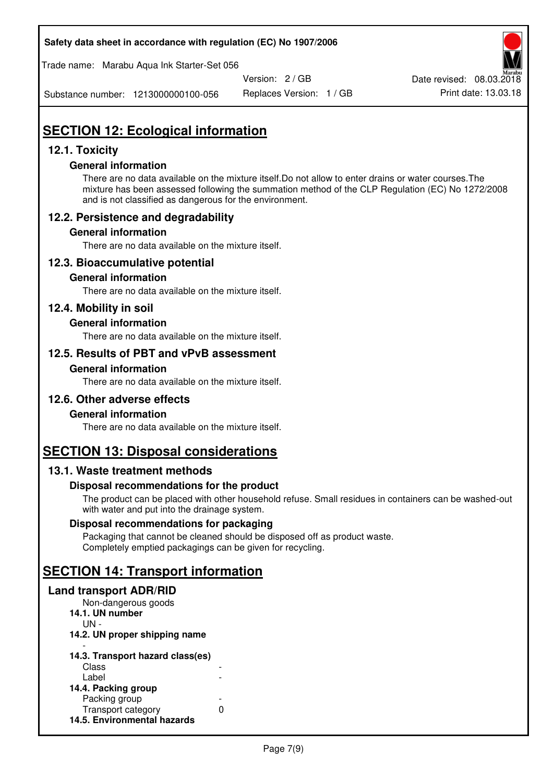#### **Safety data sheet in accordance with regulation (EC) No 1907/2006**

Trade name: Marabu Aqua Ink Starter-Set 056

Version: 2 / GB

Substance number: 1213000000100-056

Replaces Version: 1 / GB Print date: 13.03.18

Date revised: 08.03.2018

# **SECTION 12: Ecological information**

## **12.1. Toxicity**

### **General information**

There are no data available on the mixture itself.Do not allow to enter drains or water courses.The mixture has been assessed following the summation method of the CLP Regulation (EC) No 1272/2008 and is not classified as dangerous for the environment.

## **12.2. Persistence and degradability**

### **General information**

There are no data available on the mixture itself.

## **12.3. Bioaccumulative potential**

#### **General information**

There are no data available on the mixture itself.

## **12.4. Mobility in soil**

### **General information**

There are no data available on the mixture itself.

### **12.5. Results of PBT and vPvB assessment**

#### **General information**

There are no data available on the mixture itself.

#### **12.6. Other adverse effects**

#### **General information**

There are no data available on the mixture itself.

# **SECTION 13: Disposal considerations**

## **13.1. Waste treatment methods**

#### **Disposal recommendations for the product**

The product can be placed with other household refuse. Small residues in containers can be washed-out with water and put into the drainage system.

#### **Disposal recommendations for packaging**

Packaging that cannot be cleaned should be disposed off as product waste. Completely emptied packagings can be given for recycling.

# **SECTION 14: Transport information**

#### **Land transport ADR/RID**

| Non-dangerous goods              |   |
|----------------------------------|---|
| 14.1. UN number                  |   |
| UN -                             |   |
| 14.2. UN proper shipping name    |   |
|                                  |   |
| 14.3. Transport hazard class(es) |   |
| Class                            |   |
| Label                            |   |
| 14.4. Packing group              |   |
| Packing group                    |   |
| Transport category               | n |
| 14.5. Environmental hazards      |   |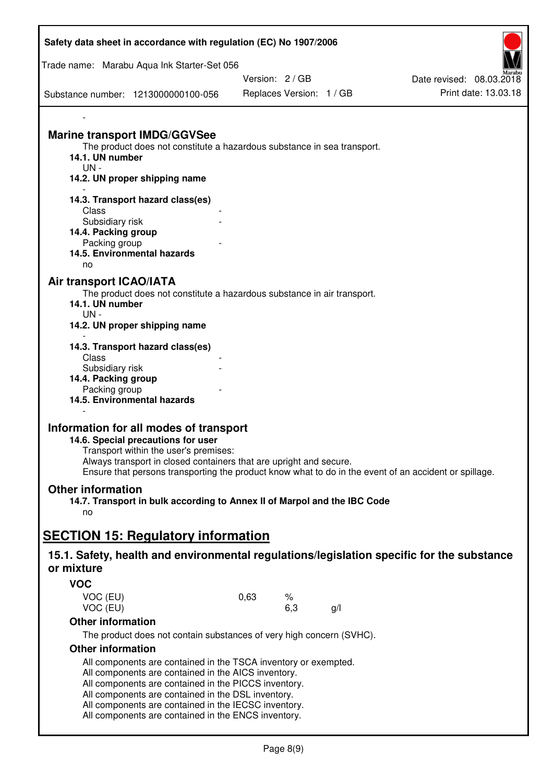| Safety data sheet in accordance with regulation (EC) No 1907/2006                                     |      |                          |     |                          |
|-------------------------------------------------------------------------------------------------------|------|--------------------------|-----|--------------------------|
| Trade name: Marabu Aqua Ink Starter-Set 056                                                           |      |                          |     |                          |
|                                                                                                       |      | Version: 2/GB            |     | Date revised: 08.03.2018 |
| Substance number: 1213000000100-056                                                                   |      | Replaces Version: 1 / GB |     | Print date: 13.03.18     |
|                                                                                                       |      |                          |     |                          |
| <b>Marine transport IMDG/GGVSee</b>                                                                   |      |                          |     |                          |
| The product does not constitute a hazardous substance in sea transport.                               |      |                          |     |                          |
| 14.1. UN number                                                                                       |      |                          |     |                          |
| $UN -$<br>14.2. UN proper shipping name                                                               |      |                          |     |                          |
|                                                                                                       |      |                          |     |                          |
| 14.3. Transport hazard class(es)                                                                      |      |                          |     |                          |
| Class                                                                                                 |      |                          |     |                          |
| Subsidiary risk                                                                                       |      |                          |     |                          |
| 14.4. Packing group                                                                                   |      |                          |     |                          |
| Packing group<br>14.5. Environmental hazards                                                          |      |                          |     |                          |
| no                                                                                                    |      |                          |     |                          |
| Air transport ICAO/IATA                                                                               |      |                          |     |                          |
| The product does not constitute a hazardous substance in air transport.                               |      |                          |     |                          |
| 14.1. UN number                                                                                       |      |                          |     |                          |
| $UN -$                                                                                                |      |                          |     |                          |
| 14.2. UN proper shipping name                                                                         |      |                          |     |                          |
|                                                                                                       |      |                          |     |                          |
| 14.3. Transport hazard class(es)<br>Class                                                             |      |                          |     |                          |
| Subsidiary risk                                                                                       |      |                          |     |                          |
| 14.4. Packing group                                                                                   |      |                          |     |                          |
| Packing group                                                                                         |      |                          |     |                          |
| 14.5. Environmental hazards                                                                           |      |                          |     |                          |
|                                                                                                       |      |                          |     |                          |
| Information for all modes of transport                                                                |      |                          |     |                          |
| 14.6. Special precautions for user                                                                    |      |                          |     |                          |
| Transport within the user's premises:                                                                 |      |                          |     |                          |
| Always transport in closed containers that are upright and secure.                                    |      |                          |     |                          |
| Ensure that persons transporting the product know what to do in the event of an accident or spillage. |      |                          |     |                          |
| <b>Other information</b>                                                                              |      |                          |     |                          |
| 14.7. Transport in bulk according to Annex II of Marpol and the IBC Code                              |      |                          |     |                          |
| no                                                                                                    |      |                          |     |                          |
| <b>SECTION 15: Regulatory information</b>                                                             |      |                          |     |                          |
|                                                                                                       |      |                          |     |                          |
| 15.1. Safety, health and environmental regulations/legislation specific for the substance             |      |                          |     |                          |
| or mixture                                                                                            |      |                          |     |                          |
| <b>VOC</b>                                                                                            |      |                          |     |                          |
| VOC (EU)                                                                                              | 0,63 | ℅                        |     |                          |
| VOC (EU)                                                                                              |      | 6,3                      | g/l |                          |
| <b>Other information</b>                                                                              |      |                          |     |                          |
| The product does not contain substances of very high concern (SVHC).                                  |      |                          |     |                          |
| <b>Other information</b>                                                                              |      |                          |     |                          |
| All components are contained in the TSCA inventory or exempted.                                       |      |                          |     |                          |
| All components are contained in the AICS inventory.                                                   |      |                          |     |                          |
| All components are contained in the PICCS inventory.                                                  |      |                          |     |                          |
| All components are contained in the DSL inventory.                                                    |      |                          |     |                          |
| All components are contained in the IECSC inventory.                                                  |      |                          |     |                          |

All components are contained in the ENCS inventory.